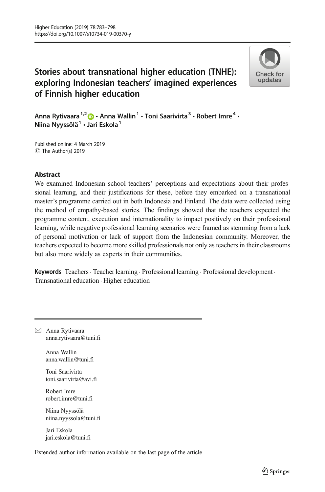# Stories about transnational higher education (TNHE): exploring Indonesian teachers' imagined experiences of Finnish higher education



Anna Rytivaara<sup>1,2</sup>  $\bullet$  · Anna Wallin<sup>1</sup> · Toni Saarivirta<sup>3</sup> · Robert Imre<sup>4</sup> · Niina Nyyssölä $1 \cdot$  Jari Eskola $1$ 

Published online: 4 March 2019 C The Author(s) 2019

### Abstract

We examined Indonesian school teachers' perceptions and expectations about their professional learning, and their justifications for these, before they embarked on a transnational master's programme carried out in both Indonesia and Finland. The data were collected using the method of empathy-based stories. The findings showed that the teachers expected the programme content, execution and internationality to impact positively on their professional learning, while negative professional learning scenarios were framed as stemming from a lack of personal motivation or lack of support from the Indonesian community. Moreover, the teachers expected to become more skilled professionals not only as teachers in their classrooms but also more widely as experts in their communities.

Keywords Teachers · Teacher learning · Professional learning · Professional development · Transnational education . Higher education

 $\boxtimes$  Anna Rytivaara [anna.rytivaara@tuni.f](mailto:anna.rytivaara@uta.fi)i

> Anna Wallin anna.wallin@tuni.fi

Toni Saarivirta toni.saarivirta@avi.fi

Robert Imre robert.imre@tuni.fi

Niina Nyyssölä niina.nyyssola@tuni.fi

Jari Eskola jari.eskola@tuni.fi

Extended author information available on the last page of the article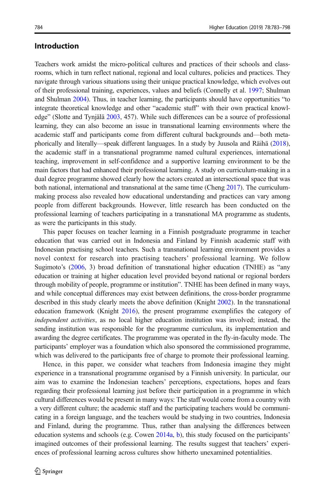# Introduction

Teachers work amidst the micro-political cultures and practices of their schools and classrooms, which in turn reflect national, regional and local cultures, policies and practices. They navigate through various situations using their unique practical knowledge, which evolves out of their professional training, experiences, values and beliefs (Connelly et al. [1997](#page-13-0); Shulman and Shulman [2004](#page-15-0)). Thus, in teacher learning, the participants should have opportunities "to integrate theoretical knowledge and other "academic stuff" with their own practical knowledge" (Slotte and Tynjälä [2003,](#page-15-0) 457). While such differences can be a source of professional learning, they can also become an issue in transnational learning environments where the academic staff and participants come from different cultural backgrounds and—both metaphorically and literally—speak different languages. In a study by Juusola and Räihä ([2018](#page-14-0)), the academic staff in a transnational programme named cultural experiences, international teaching, improvement in self-confidence and a supportive learning environment to be the main factors that had enhanced their professional learning. A study on curriculum-making in a dual degree programme showed clearly how the actors created an intersectional space that was both national, international and transnational at the same time (Cheng [2017\)](#page-13-0). The curriculummaking process also revealed how educational understanding and practices can vary among people from different backgrounds. However, little research has been conducted on the professional learning of teachers participating in a transnational MA programme as students, as were the participants in this study.

This paper focuses on teacher learning in a Finnish postgraduate programme in teacher education that was carried out in Indonesia and Finland by Finnish academic staff with Indonesian practising school teachers. Such a transnational learning environment provides a novel context for research into practising teachers' professional learning. We follow Sugimoto's ([2006](#page-15-0), 3) broad definition of transnational higher education (TNHE) as "any education or training at higher education level provided beyond national or regional borders through mobility of people, programme or institution". TNHE has been defined in many ways, and while conceptual differences may exist between definitions, the cross-border programme described in this study clearly meets the above definition (Knight [2002\)](#page-14-0). In the transnational education framework (Knight [2016](#page-14-0)), the present programme exemplifies the category of independent activities, as no local higher education institution was involved; instead, the sending institution was responsible for the programme curriculum, its implementation and awarding the degree certificates. The programme was operated in the fly-in-faculty mode. The participants' employer was a foundation which also sponsored the commissioned programme, which was delivered to the participants free of charge to promote their professional learning.

Hence, in this paper, we consider what teachers from Indonesia imagine they might experience in a transnational programme organised by a Finnish university. In particular, our aim was to examine the Indonesian teachers' perceptions, expectations, hopes and fears regarding their professional learning just before their participation in a programme in which cultural differences would be present in many ways: The staff would come from a country with a very different culture; the academic staff and the participating teachers would be communicating in a foreign language, and the teachers would be studying in two countries, Indonesia and Finland, during the programme. Thus, rather than analysing the differences between education systems and schools (e.g. Cowen [2014a,](#page-13-0) [b](#page-13-0)), this study focused on the participants' imagined outcomes of their professional learning. The results suggest that teachers' experiences of professional learning across cultures show hitherto unexamined potentialities.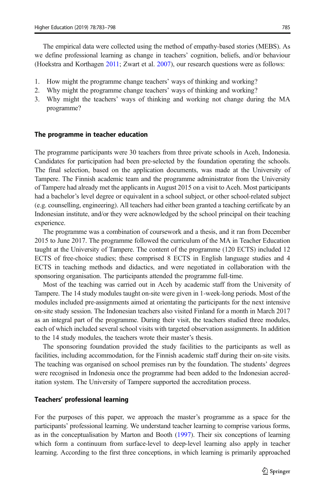The empirical data were collected using the method of empathy-based stories (MEBS). As we define professional learning as change in teachers' cognition, beliefs, and/or behaviour (Hoekstra and Korthagen [2011](#page-14-0); Zwart et al. [2007\)](#page-15-0), our research questions were as follows:

- 1. How might the programme change teachers' ways of thinking and working?
- 2. Why might the programme change teachers' ways of thinking and working?
- 3. Why might the teachers' ways of thinking and working not change during the MA programme?

#### The programme in teacher education

The programme participants were 30 teachers from three private schools in Aceh, Indonesia. Candidates for participation had been pre-selected by the foundation operating the schools. The final selection, based on the application documents, was made at the University of Tampere. The Finnish academic team and the programme administrator from the University of Tampere had already met the applicants in August 2015 on a visit to Aceh. Most participants had a bachelor's level degree or equivalent in a school subject, or other school-related subject (e.g. counselling, engineering). All teachers had either been granted a teaching certificate by an Indonesian institute, and/or they were acknowledged by the school principal on their teaching experience.

The programme was a combination of coursework and a thesis, and it ran from December 2015 to June 2017. The programme followed the curriculum of the MA in Teacher Education taught at the University of Tampere. The content of the programme (120 ECTS) included 12 ECTS of free-choice studies; these comprised 8 ECTS in English language studies and 4 ECTS in teaching methods and didactics, and were negotiated in collaboration with the sponsoring organisation. The participants attended the programme full-time.

Most of the teaching was carried out in Aceh by academic staff from the University of Tampere. The 14 study modules taught on-site were given in 1-week-long periods. Most of the modules included pre-assignments aimed at orientating the participants for the next intensive on-site study session. The Indonesian teachers also visited Finland for a month in March 2017 as an integral part of the programme. During their visit, the teachers studied three modules, each of which included several school visits with targeted observation assignments. In addition to the 14 study modules, the teachers wrote their master's thesis.

The sponsoring foundation provided the study facilities to the participants as well as facilities, including accommodation, for the Finnish academic staff during their on-site visits. The teaching was organised on school premises run by the foundation. The students' degrees were recognised in Indonesia once the programme had been added to the Indonesian accreditation system. The University of Tampere supported the accreditation process.

#### Teachers' professional learning

For the purposes of this paper, we approach the master's programme as a space for the participants' professional learning. We understand teacher learning to comprise various forms, as in the conceptualisation by Marton and Booth ([1997](#page-14-0)). Their six conceptions of learning which form a continuum from surface-level to deep-level learning also apply in teacher learning. According to the first three conceptions, in which learning is primarily approached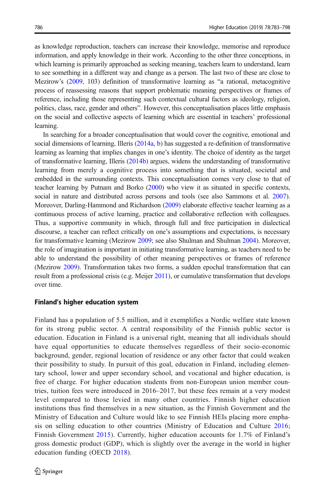as knowledge reproduction, teachers can increase their knowledge, memorise and reproduce information, and apply knowledge in their work. According to the other three conceptions, in which learning is primarily approached as seeking meaning, teachers learn to understand, learn to see something in a different way and change as a person. The last two of these are close to Mezirow's [\(2009,](#page-14-0) 103) definition of transformative learning as "a rational, metacognitive process of reassessing reasons that support problematic meaning perspectives or frames of reference, including those representing such contextual cultural factors as ideology, religion, politics, class, race, gender and others". However, this conceptualisation places little emphasis on the social and collective aspects of learning which are essential in teachers' professional learning.

In searching for a broader conceptualisation that would cover the cognitive, emotional and social dimensions of learning, Illeris [\(2014a,](#page-14-0) [b\)](#page-14-0) has suggested a re-definition of transformative learning as learning that implies changes in one's identity. The choice of identity as the target of transformative learning, Illeris [\(2014b](#page-14-0)) argues, widens the understanding of transformative learning from merely a cognitive process into something that is situated, societal and embedded in the surrounding contexts. This conceptualisation comes very close to that of teacher learning by Putnam and Borko [\(2000](#page-14-0)) who view it as situated in specific contexts, social in nature and distributed across persons and tools (see also Sammons et al. [2007](#page-15-0)). Moreover, Darling-Hammond and Richardson [\(2009\)](#page-13-0) elaborate effective teacher learning as a continuous process of active learning, practice and collaborative reflection with colleagues. Thus, a supportive community in which, through full and free participation in dialectical discourse, a teacher can reflect critically on one's assumptions and expectations, is necessary for transformative learning (Mezirow [2009](#page-14-0); see also Shulman and Shulman [2004\)](#page-15-0). Moreover, the role of imagination is important in initiating transformative learning, as teachers need to be able to understand the possibility of other meaning perspectives or frames of reference (Mezirow [2009\)](#page-14-0). Transformation takes two forms, a sudden epochal transformation that can result from a professional crisis (e.g. Meijer [2011](#page-14-0)), or cumulative transformation that develops over time.

#### Finland's higher education system

Finland has a population of 5.5 million, and it exemplifies a Nordic welfare state known for its strong public sector. A central responsibility of the Finnish public sector is education. Education in Finland is a universal right, meaning that all individuals should have equal opportunities to educate themselves regardless of their socio-economic background, gender, regional location of residence or any other factor that could weaken their possibility to study. In pursuit of this goal, education in Finland, including elementary school, lower and upper secondary school, and vocational and higher education, is free of charge. For higher education students from non-European union member countries, tuition fees were introduced in 2016–2017, but these fees remain at a very modest level compared to those levied in many other countries. Finnish higher education institutions thus find themselves in a new situation, as the Finnish Government and the Ministry of Education and Culture would like to see Finnish HEIs placing more emphasis on selling education to other countries (Ministry of Education and Culture [2016](#page-14-0); Finnish Government [2015\)](#page-14-0). Currently, higher education accounts for 1.7% of Finland's gross domestic product (GDP), which is slightly over the average in the world in higher education funding (OECD [2018\)](#page-14-0).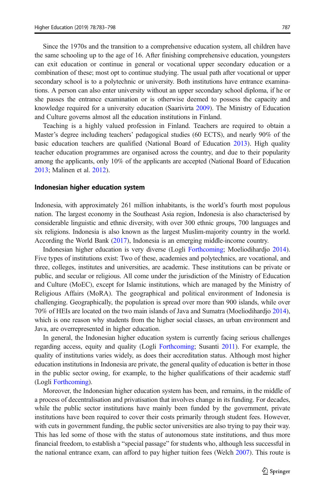Since the 1970s and the transition to a comprehensive education system, all children have the same schooling up to the age of 16. After finishing comprehensive education, youngsters can exit education or continue in general or vocational upper secondary education or a combination of these; most opt to continue studying. The usual path after vocational or upper secondary school is to a polytechnic or university. Both institutions have entrance examinations. A person can also enter university without an upper secondary school diploma, if he or she passes the entrance examination or is otherwise deemed to possess the capacity and knowledge required for a university education (Saarivirta [2009\)](#page-14-0). The Ministry of Education and Culture governs almost all the education institutions in Finland.

Teaching is a highly valued profession in Finland. Teachers are required to obtain a Master's degree including teachers' pedagogical studies (60 ECTS), and nearly 90% of the basic education teachers are qualified (National Board of Education [2013\)](#page-14-0). High quality teacher education programmes are organised across the country, and due to their popularity among the applicants, only 10% of the applicants are accepted (National Board of Education [2013](#page-14-0); Malinen et al. [2012](#page-14-0)).

#### Indonesian higher education system

Indonesia, with approximately 261 million inhabitants, is the world's fourth most populous nation. The largest economy in the Southeast Asia region, Indonesia is also characterised by considerable linguistic and ethnic diversity, with over 300 ethnic groups, 700 languages and six religions. Indonesia is also known as the largest Muslim-majority country in the world. According the World Bank [\(2017\)](#page-15-0), Indonesia is an emerging middle-income country.

Indonesian higher education is very diverse (Logli [Forthcoming;](#page-14-0) Moeliodihardjo [2014](#page-14-0)). Five types of institutions exist: Two of these, academies and polytechnics, are vocational, and three, colleges, institutes and universities, are academic. These institutions can be private or public, and secular or religious. All come under the jurisdiction of the Ministry of Education and Culture (MoEC), except for Islamic institutions, which are managed by the Ministry of Religious Affairs (MoRA). The geographical and political environment of Indonesia is challenging. Geographically, the population is spread over more than 900 islands, while over 70% of HEIs are located on the two main islands of Java and Sumatra (Moeliodihardjo [2014](#page-14-0)), which is one reason why students from the higher social classes, an urban environment and Java, are overrepresented in higher education.

In general, the Indonesian higher education system is currently facing serious challenges regarding access, equity and quality (Logli [Forthcoming;](#page-14-0) Susanti [2011](#page-15-0)). For example, the quality of institutions varies widely, as does their accreditation status. Although most higher education institutions in Indonesia are private, the general quality of education is better in those in the public sector owing, for example, to the higher qualifications of their academic staff (Logli [Forthcoming\)](#page-14-0).

Moreover, the Indonesian higher education system has been, and remains, in the middle of a process of decentralisation and privatisation that involves change in its funding. For decades, while the public sector institutions have mainly been funded by the government, private institutions have been required to cover their costs primarily through student fees. However, with cuts in government funding, the public sector universities are also trying to pay their way. This has led some of those with the status of autonomous state institutions, and thus more financial freedom, to establish a "special passage" for students who, although less successful in the national entrance exam, can afford to pay higher tuition fees (Welch [2007](#page-15-0)). This route is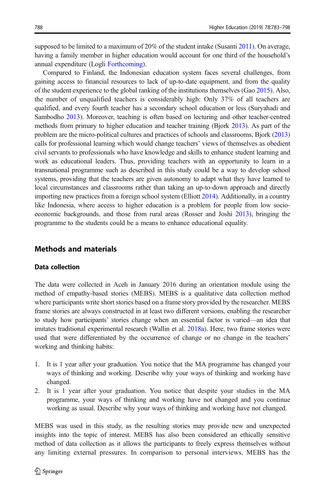supposed to be limited to a maximum of  $20\%$  of the student intake (Susanti [2011](#page-15-0)). On average, having a family member in higher education would account for one third of the household's annual expenditure (Logli [Forthcoming](#page-14-0)).

Compared to Finland, the Indonesian education system faces several challenges, from gaining access to financial resources to lack of up-to-date equipment, and from the quality of the student experience to the global ranking of the institutions themselves (Gao [2015](#page-14-0)). Also, the number of unqualified teachers is considerably high: Only 37% of all teachers are qualified, and every fourth teacher has a secondary school education or less (Suryahadi and Sambodho [2013](#page-15-0)). Moreover, teaching is often based on lecturing and other teacher-centred methods from primary to higher education and teacher training (Bjork [2013\)](#page-13-0). As part of the problem are the micro-political cultures and practices of schools and classrooms, Bjork [\(2013\)](#page-13-0) calls for professional learning which would change teachers' views of themselves as obedient civil servants to professionals who have knowledge and skills to enhance student learning and work as educational leaders. Thus, providing teachers with an opportunity to learn in a transnational programme such as described in this study could be a way to develop school systems, providing that the teachers are given autonomy to adapt what they have learned to local circumstances and classrooms rather than taking an up-to-down approach and directly importing new practices from a foreign school system (Elliott [2014\)](#page-13-0). Additionally, in a country like Indonesia, where access to higher education is a problem for people from low socioeconomic backgrounds, and those from rural areas (Rosser and Joshi [2013\)](#page-14-0), bringing the programme to the students could be a means to enhance educational equality.

### Methods and materials

#### Data collection

The data were collected in Aceh in January 2016 during an orientation module using the method of empathy-based stories (MEBS). MEBS is a qualitative data collection method where participants write short stories based on a frame story provided by the researcher. MEBS frame stories are always constructed in at least two different versions, enabling the researcher to study how participants' stories change when an essential factor is varied—an idea that imitates traditional experimental research (Wallin et al. [2018a\).](#page-15-0) Here, two frame stories were used that were differentiated by the occurrence of change or no change in the teachers' working and thinking habits:

- 1. It is 1 year after your graduation. You notice that the MA programme has changed your ways of thinking and working. Describe why your ways of thinking and working have changed.
- 2. It is 1 year after your graduation. You notice that despite your studies in the MA programme, your ways of thinking and working have not changed and you continue working as usual. Describe why your ways of thinking and working have not changed.

MEBS was used in this study, as the resulting stories may provide new and unexpected insights into the topic of interest. MEBS has also been considered an ethically sensitive method of data collection as it allows the participants to freely express themselves without any limiting external pressures. In comparison to personal interviews, MEBS has the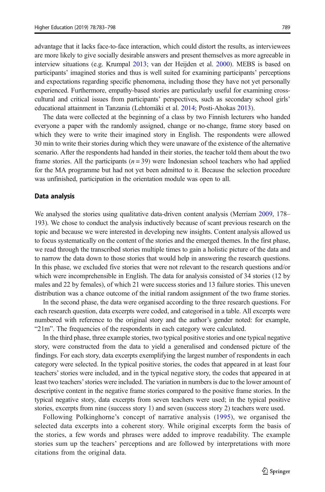advantage that it lacks face-to-face interaction, which could distort the results, as interviewees are more likely to give socially desirable answers and present themselves as more agreeable in interview situations (e.g. Krumpal [2013](#page-14-0); van der Heijden et al. [2000\)](#page-15-0). MEBS is based on participants' imagined stories and thus is well suited for examining participants' perceptions and expectations regarding specific phenomena, including those they have not yet personally experienced. Furthermore, empathy-based stories are particularly useful for examining crosscultural and critical issues from participants' perspectives, such as secondary school girls' educational attainment in Tanzania (Lehtomäki et al. [2014;](#page-14-0) Posti-Ahokas [2013\)](#page-14-0).

The data were collected at the beginning of a class by two Finnish lecturers who handed everyone a paper with the randomly assigned, change or no-change, frame story based on which they were to write their imagined story in English. The respondents were allowed 30 min to write their stories during which they were unaware of the existence of the alternative scenario. After the respondents had handed in their stories, the teacher told them about the two frame stories. All the participants  $(n = 39)$  were Indonesian school teachers who had applied for the MA programme but had not yet been admitted to it. Because the selection procedure was unfinished, participation in the orientation module was open to all.

#### Data analysis

We analysed the stories using qualitative data-driven content analysis (Merriam [2009](#page-14-0), 178– 193). We chose to conduct the analysis inductively because of scant previous research on the topic and because we were interested in developing new insights. Content analysis allowed us to focus systematically on the content of the stories and the emerged themes. In the first phase, we read through the transcribed stories multiple times to gain a holistic picture of the data and to narrow the data down to those stories that would help in answering the research questions. In this phase, we excluded five stories that were not relevant to the research questions and/or which were incomprehensible in English. The data for analysis consisted of 34 stories (12 by males and 22 by females), of which 21 were success stories and 13 failure stories. This uneven distribution was a chance outcome of the initial random assignment of the two frame stories.

In the second phase, the data were organised according to the three research questions. For each research question, data excerpts were coded, and categorised in a table. All excerpts were numbered with reference to the original story and the author's gender noted: for example, "21m". The frequencies of the respondents in each category were calculated.

In the third phase, three example stories, two typical positive stories and one typical negative story, were constructed from the data to yield a generalised and condensed picture of the findings. For each story, data excerpts exemplifying the largest number of respondents in each category were selected. In the typical positive stories, the codes that appeared in at least four teachers' stories were included, and in the typical negative story, the codes that appeared in at least two teachers'stories were included. The variation in numbers is due to the lower amount of descriptive content in the negative frame stories compared to the positive frame stories. In the typical negative story, data excerpts from seven teachers were used; in the typical positive stories, excerpts from nine (success story 1) and seven (success story 2) teachers were used.

Following Polkinghorne's concept of narrative analysis ([1995](#page-14-0)), we organised the selected data excerpts into a coherent story. While original excerpts form the basis of the stories, a few words and phrases were added to improve readability. The example stories sum up the teachers' perceptions and are followed by interpretations with more citations from the original data.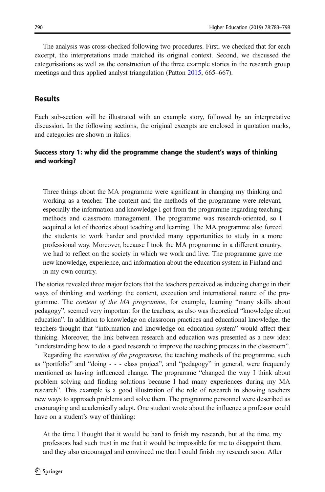The analysis was cross-checked following two procedures. First, we checked that for each excerpt, the interpretations made matched its original context. Second, we discussed the categorisations as well as the construction of the three example stories in the research group meetings and thus applied analyst triangulation (Patton [2015](#page-14-0), 665–667).

### **Results**

Each sub-section will be illustrated with an example story, followed by an interpretative discussion. In the following sections, the original excerpts are enclosed in quotation marks, and categories are shown in italics.

### Success story 1: why did the programme change the student's ways of thinking and working?

Three things about the MA programme were significant in changing my thinking and working as a teacher. The content and the methods of the programme were relevant, especially the information and knowledge I got from the programme regarding teaching methods and classroom management. The programme was research-oriented, so I acquired a lot of theories about teaching and learning. The MA programme also forced the students to work harder and provided many opportunities to study in a more professional way. Moreover, because I took the MA programme in a different country, we had to reflect on the society in which we work and live. The programme gave me new knowledge, experience, and information about the education system in Finland and in my own country.

The stories revealed three major factors that the teachers perceived as inducing change in their ways of thinking and working: the content, execution and international nature of the programme. The content of the MA programme, for example, learning "many skills about pedagogy", seemed very important for the teachers, as also was theoretical "knowledge about education". In addition to knowledge on classroom practices and educational knowledge, the teachers thought that "information and knowledge on education system" would affect their thinking. Moreover, the link between research and education was presented as a new idea: "understanding how to do a good research to improve the teaching process in the classroom".

Regarding the *execution of the programme*, the teaching methods of the programme, such as "portfolio" and "doing - - - class project", and "pedagogy" in general, were frequently mentioned as having influenced change. The programme "changed the way I think about problem solving and finding solutions because I had many experiences during my MA research". This example is a good illustration of the role of research in showing teachers new ways to approach problems and solve them. The programme personnel were described as encouraging and academically adept. One student wrote about the influence a professor could have on a student's way of thinking:

At the time I thought that it would be hard to finish my research, but at the time, my professors had such trust in me that it would be impossible for me to disappoint them, and they also encouraged and convinced me that I could finish my research soon. After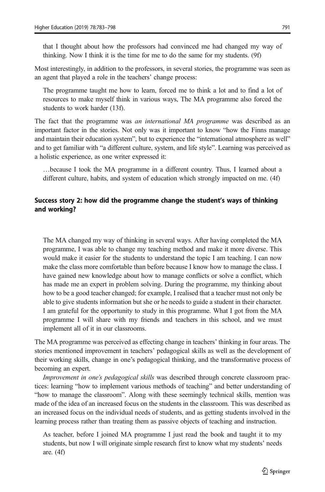that I thought about how the professors had convinced me had changed my way of thinking. Now I think it is the time for me to do the same for my students. (9f)

Most interestingly, in addition to the professors, in several stories, the programme was seen as an agent that played a role in the teachers' change process:

The programme taught me how to learn, forced me to think a lot and to find a lot of resources to make myself think in various ways, The MA programme also forced the students to work harder (13f).

The fact that the programme was an international MA programme was described as an important factor in the stories. Not only was it important to know "how the Finns manage and maintain their education system", but to experience the "international atmosphere as well" and to get familiar with "a different culture, system, and life style". Learning was perceived as a holistic experience, as one writer expressed it:

…because I took the MA programme in a different country. Thus, I learned about a different culture, habits, and system of education which strongly impacted on me. (4f)

### Success story 2: how did the programme change the student's ways of thinking and working?

The MA changed my way of thinking in several ways. After having completed the MA programme, I was able to change my teaching method and make it more diverse. This would make it easier for the students to understand the topic I am teaching. I can now make the class more comfortable than before because I know how to manage the class. I have gained new knowledge about how to manage conflicts or solve a conflict, which has made me an expert in problem solving. During the programme, my thinking about how to be a good teacher changed; for example, I realised that a teacher must not only be able to give students information but she or he needs to guide a student in their character. I am grateful for the opportunity to study in this programme. What I got from the MA programme I will share with my friends and teachers in this school, and we must implement all of it in our classrooms.

The MA programme was perceived as effecting change in teachers' thinking in four areas. The stories mentioned improvement in teachers' pedagogical skills as well as the development of their working skills, change in one's pedagogical thinking, and the transformative process of becoming an expert.

Improvement in one's pedagogical skills was described through concrete classroom practices: learning "how to implement various methods of teaching" and better understanding of "how to manage the classroom". Along with these seemingly technical skills, mention was made of the idea of an increased focus on the students in the classroom. This was described as an increased focus on the individual needs of students, and as getting students involved in the learning process rather than treating them as passive objects of teaching and instruction.

As teacher, before I joined MA programme I just read the book and taught it to my students, but now I will originate simple research first to know what my students' needs are. (4f)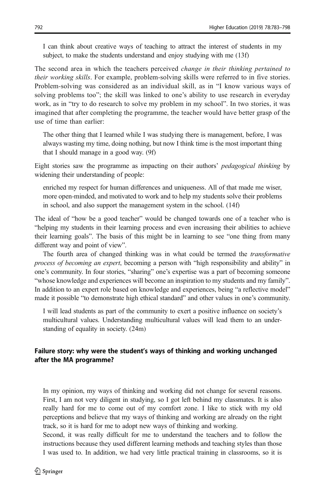I can think about creative ways of teaching to attract the interest of students in my subject, to make the students understand and enjoy studying with me (13f)

The second area in which the teachers perceived *change in their thinking pertained to their working skills*. For example, problem-solving skills were referred to in five stories. Problem-solving was considered as an individual skill, as in "I know various ways of solving problems too"; the skill was linked to one's ability to use research in everyday work, as in "try to do research to solve my problem in my school". In two stories, it was imagined that after completing the programme, the teacher would have better grasp of the use of time than earlier:

The other thing that I learned while I was studying there is management, before, I was always wasting my time, doing nothing, but now I think time is the most important thing that I should manage in a good way. (9f)

Eight stories saw the programme as impacting on their authors' pedagogical thinking by widening their understanding of people:

enriched my respect for human differences and uniqueness. All of that made me wiser, more open-minded, and motivated to work and to help my students solve their problems in school, and also support the management system in the school. (14f)

The ideal of "how be a good teacher" would be changed towards one of a teacher who is "helping my students in their learning process and even increasing their abilities to achieve their learning goals". The basis of this might be in learning to see "one thing from many different way and point of view".

The fourth area of changed thinking was in what could be termed the transformative process of becoming an expert, becoming a person with "high responsibility and ability" in one's community. In four stories, "sharing" one's expertise was a part of becoming someone "whose knowledge and experiences will become an inspiration to my students and my family". In addition to an expert role based on knowledge and experiences, being "a reflective model" made it possible "to demonstrate high ethical standard" and other values in one's community.

I will lead students as part of the community to exert a positive influence on society's multicultural values. Understanding multicultural values will lead them to an understanding of equality in society. (24m)

### Failure story: why were the student's ways of thinking and working unchanged after the MA programme?

In my opinion, my ways of thinking and working did not change for several reasons. First, I am not very diligent in studying, so I got left behind my classmates. It is also really hard for me to come out of my comfort zone. I like to stick with my old perceptions and believe that my ways of thinking and working are already on the right track, so it is hard for me to adopt new ways of thinking and working.

Second, it was really difficult for me to understand the teachers and to follow the instructions because they used different learning methods and teaching styles than those I was used to. In addition, we had very little practical training in classrooms, so it is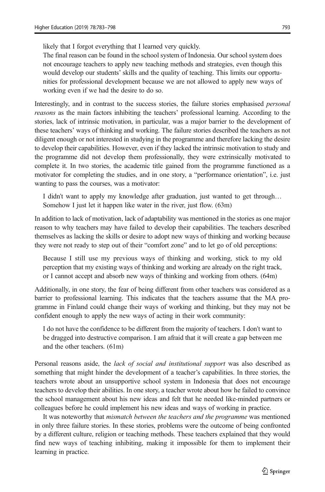likely that I forgot everything that I learned very quickly.

The final reason can be found in the school system of Indonesia. Our school system does not encourage teachers to apply new teaching methods and strategies, even though this would develop our students' skills and the quality of teaching. This limits our opportunities for professional development because we are not allowed to apply new ways of working even if we had the desire to do so.

Interestingly, and in contrast to the success stories, the failure stories emphasised personal reasons as the main factors inhibiting the teachers' professional learning. According to the stories, lack of intrinsic motivation, in particular, was a major barrier to the development of these teachers' ways of thinking and working. The failure stories described the teachers as not diligent enough or not interested in studying in the programme and therefore lacking the desire to develop their capabilities. However, even if they lacked the intrinsic motivation to study and the programme did not develop them professionally, they were extrinsically motivated to complete it. In two stories, the academic title gained from the programme functioned as a motivator for completing the studies, and in one story, a "performance orientation", i.e. just wanting to pass the courses, was a motivator:

I didn't want to apply my knowledge after graduation, just wanted to get through… Somehow I just let it happen like water in the river, just flow. (63m)

In addition to lack of motivation, lack of adaptability was mentioned in the stories as one major reason to why teachers may have failed to develop their capabilities. The teachers described themselves as lacking the skills or desire to adopt new ways of thinking and working because they were not ready to step out of their "comfort zone" and to let go of old perceptions:

Because I still use my previous ways of thinking and working, stick to my old perception that my existing ways of thinking and working are already on the right track, or I cannot accept and absorb new ways of thinking and working from others. (64m)

Additionally, in one story, the fear of being different from other teachers was considered as a barrier to professional learning. This indicates that the teachers assume that the MA programme in Finland could change their ways of working and thinking, but they may not be confident enough to apply the new ways of acting in their work community:

I do not have the confidence to be different from the majority of teachers. I don't want to be dragged into destructive comparison. I am afraid that it will create a gap between me and the other teachers. (61m)

Personal reasons aside, the lack of social and institutional support was also described as something that might hinder the development of a teacher's capabilities. In three stories, the teachers wrote about an unsupportive school system in Indonesia that does not encourage teachers to develop their abilities. In one story, a teacher wrote about how he failed to convince the school management about his new ideas and felt that he needed like-minded partners or colleagues before he could implement his new ideas and ways of working in practice.

It was noteworthy that *mismatch between the teachers and the programme* was mentioned in only three failure stories. In these stories, problems were the outcome of being confronted by a different culture, religion or teaching methods. These teachers explained that they would find new ways of teaching inhibiting, making it impossible for them to implement their learning in practice.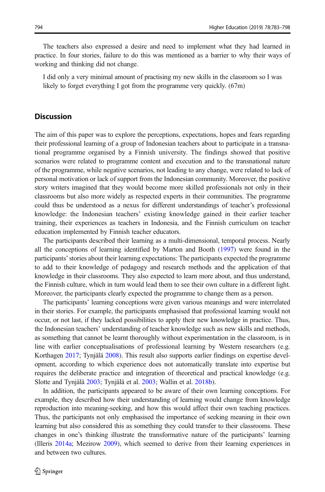The teachers also expressed a desire and need to implement what they had learned in practice. In four stories, failure to do this was mentioned as a barrier to why their ways of working and thinking did not change.

I did only a very minimal amount of practising my new skills in the classroom so I was likely to forget everything I got from the programme very quickly. (67m)

#### **Discussion**

The aim of this paper was to explore the perceptions, expectations, hopes and fears regarding their professional learning of a group of Indonesian teachers about to participate in a transnational programme organised by a Finnish university. The findings showed that positive scenarios were related to programme content and execution and to the transnational nature of the programme, while negative scenarios, not leading to any change, were related to lack of personal motivation or lack of support from the Indonesian community. Moreover, the positive story writers imagined that they would become more skilled professionals not only in their classrooms but also more widely as respected experts in their communities. The programme could thus be understood as a nexus for different understandings of teacher's professional knowledge: the Indonesian teachers' existing knowledge gained in their earlier teacher training, their experiences as teachers in Indonesia, and the Finnish curriculum on teacher education implemented by Finnish teacher educators.

The participants described their learning as a multi-dimensional, temporal process. Nearly all the conceptions of learning identified by Marton and Booth ([1997](#page-14-0)) were found in the participants'stories about their learning expectations: The participants expected the programme to add to their knowledge of pedagogy and research methods and the application of that knowledge in their classrooms. They also expected to learn more about, and thus understand, the Finnish culture, which in turn would lead them to see their own culture in a different light. Moreover, the participants clearly expected the programme to change them as a person.

The participants' learning conceptions were given various meanings and were interrelated in their stories. For example, the participants emphasised that professional learning would not occur, or not last, if they lacked possibilities to apply their new knowledge in practice. Thus, the Indonesian teachers' understanding of teacher knowledge such as new skills and methods, as something that cannot be learnt thoroughly without experimentation in the classroom, is in line with earlier conceptualisations of professional learning by Western researchers (e.g. Korthagen [2017;](#page-14-0) Tynjälä [2008](#page-15-0)). This result also supports earlier findings on expertise development, according to which experience does not automatically translate into expertise but requires the deliberate practice and integration of theoretical and practical knowledge (e.g. Slotte and Tynjälä [2003;](#page-15-0) Tynjälä et al. [2003;](#page-15-0) Wallin et al. [2018b](#page-15-0))[.](#page-15-0)

In addition, the participants appeared to be aware of their own learning conceptions. For example, they described how their understanding of learning would change from knowledge reproduction into meaning-seeking, and how this would affect their own teaching practices. Thus, the participants not only emphasised the importance of seeking meaning in their own learning but also considered this as something they could transfer to their classrooms. These changes in one's thinking illustrate the transformative nature of the participants' learning (Illeris [2014a;](#page-14-0) Mezirow [2009\)](#page-14-0), which seemed to derive from their learning experiences in and between two cultures.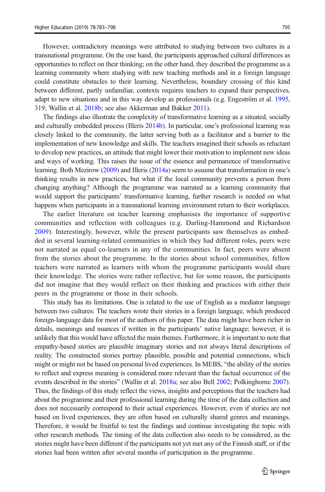However, contradictory meanings were attributed to studying between two cultures in a transnational programme. On the one hand, the participants approached cultural differences as opportunities to reflect on their thinking; on the other hand, they described the programme as a learning community where studying with new teaching methods and in a foreign language could constitute obstacles to their learning. Nevertheless, boundary crossing of this kind between different, partly unfamiliar, contexts requires teachers to expand their perspectives, adapt to new situations and in this way develop as professionals (e.g. Engeström et al. [1995](#page-13-0), 319; Wallin et al. 2018b; see also Akkerman and Bakker [201](#page-13-0)1).

The findings also illustrate the complexity of transformative learning as a situated, socially and culturally embedded process (Illeris [2014b\)](#page-14-0). In particular, one's professional learning was closely linked to the community, the latter serving both as a facilitator and a barrier to the implementation of new knowledge and skills. The teachers imagined their schools as reluctant to develop new practices, an attitude that might lower their motivation to implement new ideas and ways of working. This raises the issue of the essence and permanence of transformative learning. Both Mezirow ([2009](#page-14-0)) and Illeris ([2014a](#page-14-0)) seem to assume that transformation in one's thinking results in new practices, but what if the local community prevents a person from changing anything? Although the programme was narrated as a learning community that would support the participants' transformative learning, further research is needed on what happens when participants in a transnational learning environment return to their workplaces.

The earlier literature on teacher learning emphasises the importance of supportive communities and reflection with colleagues (e.g. Darling-Hammond and Richardson [2009](#page-13-0)). Interestingly, however, while the present participants saw themselves as embedded in several learning-related communities in which they had different roles, peers were not narrated as equal co-learners in any of the communities. In fact, peers were absent from the stories about the programme. In the stories about school communities, fellow teachers were narrated as learners with whom the programme participants would share their knowledge. The stories were rather reflective, but for some reason, the participants did not imagine that they would reflect on their thinking and practices with either their peers in the programme or those in their schools.

This study has its limitations. One is related to the use of English as a mediator language between two cultures: The teachers wrote their stories in a foreign language, which produced foreign-language data for most of the authors of this paper. The data might have been richer in details, meanings and nuances if written in the participants' native language; however, it is unlikely that this would have affected the main themes. Furthermore, it is important to note that empathy-based stories are plausible imaginary stories and not always literal descriptions of reality. The constructed stories portray plausible, possible and potential connections, which might or might not be based on personal lived experiences. In MEBS, "the ability of the stories to reflect and express meaning is considered more relevant than the factual occurrence of the events described in the stories" (Wallin et al. [2018a;](#page-15-0) see also Bell [2002;](#page-13-0) Polkinghorne [2007](#page-14-0)). Thus, the findings of this study reflect the views, insights and perceptions that the teachers had about the programme and their professional learning during the time of the data collection and does not necessarily correspond to their actual experiences. However, even if stories are not based on lived experiences, they are often based on culturally shared genres and meanings. Therefore, it would be fruitful to test the findings and continue investigating the topic with other research methods. The timing of the data collection also needs to be considered, as the stories might have been different if the participants not yet met any of the Finnish staff, or if the stories had been written after several months of participation in the programme.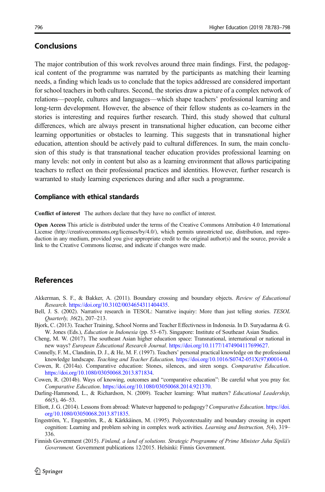# <span id="page-13-0"></span>Conclusions

The major contribution of this work revolves around three main findings. First, the pedagogical content of the programme was narrated by the participants as matching their learning needs, a finding which leads us to conclude that the topics addressed are considered important for school teachers in both cultures. Second, the stories draw a picture of a complex network of relations—people, cultures and languages—which shape teachers' professional learning and long-term development. However, the absence of their fellow students as co-learners in the stories is interesting and requires further research. Third, this study showed that cultural differences, which are always present in transnational higher education, can become either learning opportunities or obstacles to learning. This suggests that in transnational higher education, attention should be actively paid to cultural differences. In sum, the main conclusion of this study is that transnational teacher education provides professional learning on many levels: not only in content but also as a learning environment that allows participating teachers to reflect on their professional practices and identities. However, further research is warranted to study learning experiences during and after such a programme.

#### Compliance with ethical standards

Conflict of interest The authors declare that they have no conflict of interest.

Open Access This article is distributed under the terms of the Creative Commons Attribution 4.0 International License (http://creativecommons.org/licenses/by/4.0/), which permits unrestricted use, distribution, and reproduction in any medium, provided you give appropriate credit to the original author(s) and the source, provide a link to the Creative Commons license, and indicate if changes were made.

## **References**

- Akkerman, S. F., & Bakker, A. (2011). Boundary crossing and boundary objects. Review of Educational Research. https://doi.org/10.3102/0034654311404435.
- Bell, J. S. (2002). Narrative research in TESOL: Narrative inquiry: More than just telling stories. TESOL Quarterly, 36(2), 207–213.
- Bjork, C. (201[3\).](https://doi.org/10.3102/0034654311404435) [Teacher](https://doi.org/10.3102/0034654311404435) [Training,](https://doi.org/10.3102/0034654311404435) [School](https://doi.org/10.3102/0034654311404435) [Norms](https://doi.org/10.3102/0034654311404435) [and](https://doi.org/10.3102/0034654311404435) [Teac](https://doi.org/10.3102/0034654311404435)her Effectivness in Indonesia. In D. Suryadarma & G. W. Jones (Eds.), *Education in Indonesia* (pp. 53–67). Singapore: Institute of Southeast Asian Studies.
- Cheng, M. W. (2017). The southeast Asian higher education space: Transnational, international or national in new ways? European Educational Research Journal. https://doi.org/10.1177/1474904117699627.
- Connelly, F. M., Clandinin, D. J., & He, M. F. (1997). Teachers' personal practical knowledge on the professional knowledge landscape. Teaching and Teacher Education. [https://doi.org/10.1016/S0742-051X\(97\)](https://doi.org/10.1177/1474904117699627)00014-0.
- Cowen, R. (2014a). Comparative education: Stones, silences, and siren songs. Comparative Education. https://doi.org/10.1080/03050068.2013.871834.
- Cowen, R. (2014b). Ways of knowing, outcomes and "comparative education"[:](https://doi.org/10.1016/S0742-051X(97)00014-0) [Be](https://doi.org/10.1016/S0742-051X(97)00014-0) [careful](https://doi.org/10.1016/S0742-051X(97)00014-0) [what](https://doi.org/10.1016/S0742-051X(97)00014-0) [you](https://doi.org/10.1016/S0742-051X(97)00014-0) [pray](https://doi.org/10.1016/S0742-051X(97)00014-0) [fo](https://doi.org/10.1016/S0742-051X(97)00014-0)r. [Comparative Education](https://doi.org/10.1080/03050068.2013.871834). https://doi.org/10.1080/03050068.2014.921370.
- Darling-Hammond, L., & Richardson, N. (2009). Teacher learning: What matters? Educational Leadership, 66(5), 46–53.
- Elliott, J. G. (2014). Lessons f[rom](https://doi.org/10.1080/03050068.2014.921370) [abroad:](https://doi.org/10.1080/03050068.2014.921370) [Whatever](https://doi.org/10.1080/03050068.2014.921370) [happened](https://doi.org/10.1080/03050068.2014.921370) [to](https://doi.org/10.1080/03050068.2014.921370) [pedagogy?](https://doi.org/10.1080/03050068.2014.921370) Comparative Education. https://doi. org/10.1080/03050068.2013.871835.
- Engeström, Y., Engeström, R., & Kärkkäinen, M. (1995). Polycontextuality and boundary crossin[g in expert](https://doi.org/10.1080/03050068.2013.871835) [cognition: Learning and problem sol](https://doi.org/10.1080/03050068.2013.871835)ving in complex work activities. Learning and Instruction, 5(4), 319– 336.
- Finnish Government (2015). Finland, a land of solutions. Strategic Programme of Prime Minister Juha Sipilä's Government. Government publications 12/2015. Helsinki: Finnis Government.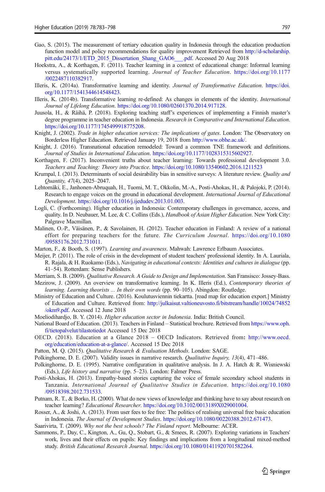- <span id="page-14-0"></span>Gao, S. (2015). The measurement of tertiary education quality in Indonesia through the education production function model and policy recommendations for quality improvement Retrieved from http://d-scholarship. pitt.edu/24173/1/ETD\_2015\_Dissertation\_Shang\_GAO6\_\_\_.pdf. Accessed 20 Aug 2018
- Hoekstra, A., & Korthagen, F. (2011). Teacher learning in a context of educational chang[e: Informal learning](http://d-scholarship.pitt.edu/24173/1/ETD_2015_Dissertation_Shang_GAO6___.pdf) [versus systematically supported learning.](http://d-scholarship.pitt.edu/24173/1/ETD_2015_Dissertation_Shang_GAO6___.pdf) Journal of Teacher Education. https://doi.org/10.1177 /0022487110382917.
- Illeris, K. (2014a). Transformative learning and identity. Journal of Transformativ[e Education](https://doi.org/10.1177/0022487110382917). https://doi. [org/10.1177/1541344](https://doi.org/10.1177/0022487110382917)614548423.
- Illeris, K. (2014b). Transformative learning re-defined: As changes in elements of the identity. In[ternational](https://doi.org/10.1177/1541344614548423) [Journal of Lifelong Education](https://doi.org/10.1177/1541344614548423). https://doi.org/10.1080/02601370.2014.917128.
- Juusola, H., & Räihä, P. (2018). Exploring teaching staff's experiences of implementing a Finnish master's degree programme in teacher education in Indonesia. [Research in Comparative a](https://doi.org/10.1080/02601370.2014.917128)nd International Education. https://doi.org/10.1177/1745499918775208.
- Knight, J. (2002). Trade in higher education services: The implications of gates. London: The Observatory on [Borderless Higher Education. Retrieved Jan](https://doi.org/10.1177/1745499918775208)uary 19, 2018 from http://www.obhe.ac.uk/.
- Knight, J. (2016). Transnational education remodeled: Toward a common TNE framework and definitions. Journal of Studies in International Education. https://doi.org/1[0.1177/10283153156029](http://www.obhe.ac.uk/)27.
- Korthagen, F. (2017). Inconvenient truths about teacher learning: Towards professional development 3.0. Teachers and Teaching: Theory into Practice. [https://doi.org/10.1080/13540602.2016.1211](https://doi.org/10.1177/1028315315602927)523
- Krumpal, I. (2013). Determinants of social desirability bias in sensitive surveys: A literature review. Quality and Quantity, 47(4), 2025–2047.
- Lehtomäki, E., Janhonen-Abruquah, H., Tuomi, M. T., Okkolin, M.-A., Posti-Ahokas, H., & Palojoki, P. (2014). Research to engage voices on the ground in educational development. International Journal of Educational Development. https://doi.org/10.1016/j.ijedudev.2013.01.003.
- Logli, C. (Forthcoming). Higher education in Indonesia: Contemporary challenges in governance, access, and quality. In D. [Neubauer, M. Lee, & C. Collins \(Eds.\),](https://doi.org/10.1016/j.ijedudev.2013.01.003) Handbook of Asian Higher Education. New York City: Palgrave Macmillan.
- Malinen, O.-P., Väisänen, P., & Savolainen, H. (2012). Teacher education in Finland: A review of a national effort for preparing teachers for the future. The Curriculum Journal. https://doi.org/10.1080 /09585176.2012.731011.
- Marton, F., & Booth, S. (1997). Learning and awareness. Mahwah: Lawrence Erlbau[m Associates.](https://doi.org/10.1080/09585176.2012.731011)
- Mei[jer, P. \(2011\). The role of](https://doi.org/10.1080/09585176.2012.731011) crisis in the development of student teachers' professional identity. In A. Lauriala, R. Rajala, & H. Ruokamo (Eds.), Navigating in educational contexts: Identities and cultures in dialogue (pp. 41–54). Rotterdam: Sense Publishers.
- Merriam, S. B. (2009). Qualitative Research. A Guide to Design and Implementation. San Fransisco: Jossey-Bass.
- Mezirow, J. (2009). An overview on transformative learning. In K. Illeris (Ed.), Contemporary theories of learning. Learning theorists ... In their own words (pp. 90–105). Abingdon: Routledge.
- Ministry of Education and Culture. (2016). Koulutusviennin tiekartta. [road map for education export.] Ministry of Education and Culture. Retrieved from: http://julkaisut.valtioneuvosto.fi/bitstream/handle/10024/74852 /okm9.pdf. Accessed 12 June 2018
- Moeliodihardjo, B. Y. (2014). Higher education sector in Indonesia. India: British Council.
- National Board of Education. (2013). Teachers in Finland [Statistical brochure. Retrieved from](http://julkaisut.valtioneuvosto.fi/bitstream/handle/10024/74852/okm9.pdf) https://www.oph. [fi/tietopalv](http://julkaisut.valtioneuvosto.fi/bitstream/handle/10024/74852/okm9.pdf)elut/tilastotiedot Accessed 15 Dec 2018
- OECD. (2018). Education at a Glance 2018 OECD Indicators. Retrieved from: http://www.oecd. org/education/education-at-a-glance/. Accessed 15 Dec 2018
- Patt[on, M. Q. \(2015\).](https://www.oph.fi/tietopalvelut/tilastotiedot) Qualitative Research & Evaluation Methods. London: SAGE.
- Polkinghorne, D. E. (2007). Validity issues in narrative research. *Qualitative Inquiry, 13*(4), 471–[486.](http://www.oecd.org/education/education-at-a-glance/)
- Polk[inghorne, D. E. \(1995\). Narrative c](http://www.oecd.org/education/education-at-a-glance/)onfiguration in qualitative analysis. In J. A. Hatch & R. Wisniewski (Eds.), Life history and narrative (pp. 5–23). London: Falmer Press.
- Posti-Ahokas, H. (2013). Empathy-based stories capturing the voice of female secondary school students in Tanzania. International Journal of Qualitative Studies in Education. https://doi.org/10.1080 /09518398.2012.731533.
- Putnam, R. T., & Borko, H. (2000). What do new views of knowledge and thinking have to say about research on teacher learning? Educational Researcher. https://doi.org/10.3102/0013189X029[001004.](https://doi.org/10.1080/09518398.2012.731533)
- Ros[ser, A., & Joshi, A. \(2013](https://doi.org/10.1080/09518398.2012.731533)). From user fees to fee free: The politics of realising universal free basic education in Indonesia. The Journal of Development Studies. https://doi.org/10.1080/00220388.2012.671473.
- Saarivirta, T. (2009). Why not the best schools? The Finland report[. Melbourne: ACER.](https://doi.org/10.3102/0013189X029001004)
- Sammons, P., Day, C., Kington, A., Gu, Q., Stobart, G., & Smees, R. (2007). Exploring variations in Teachers' work, lives and their effects on pupils: Key findin[gs and implications from a longitudinal mixed](https://doi.org/10.1080/00220388.2012.671473)-method study. British Educational Research Journal. https://doi.org/10.1080/01411920701582264.